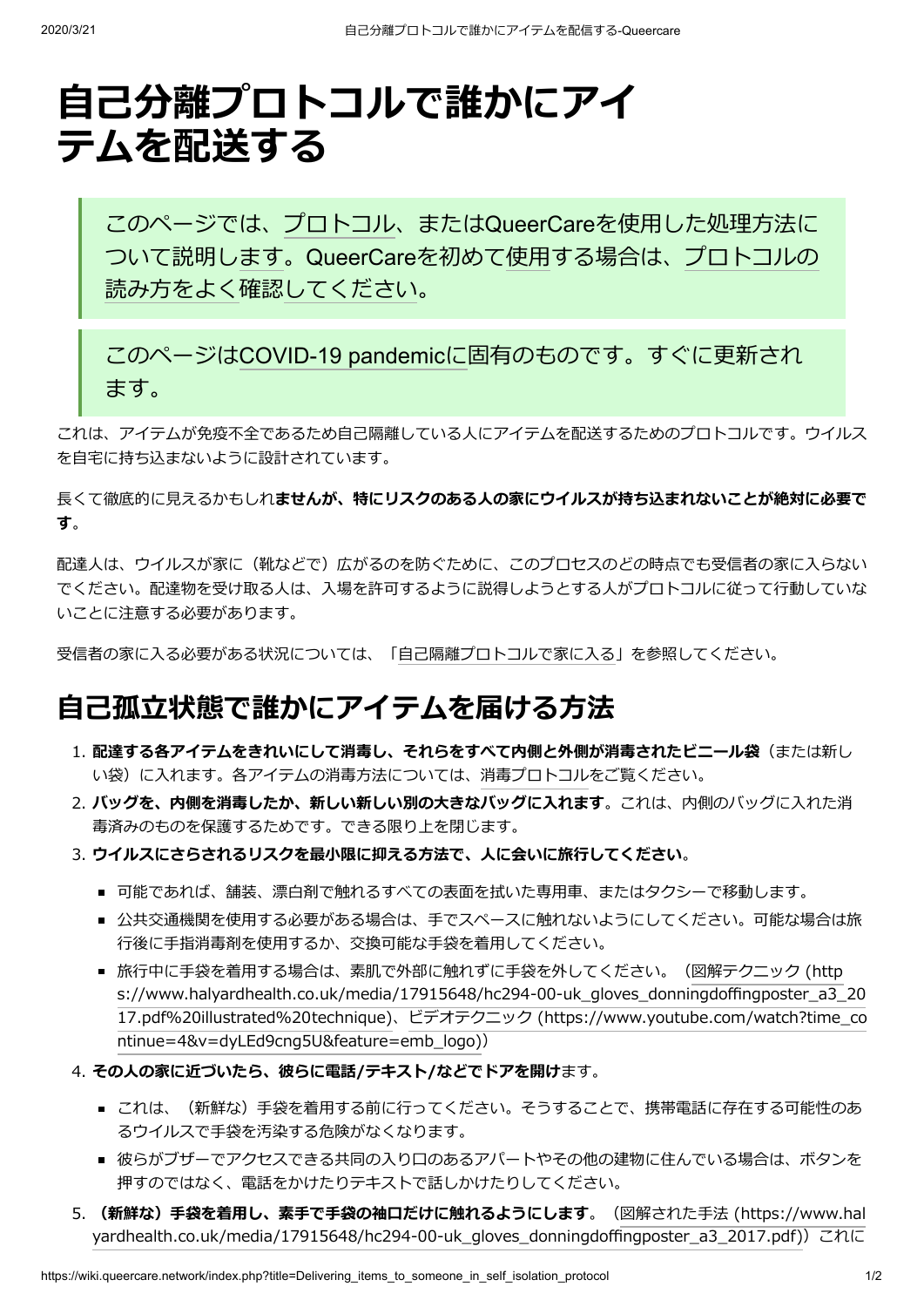# **⾃⼰分離プロトコルで誰かにアイ テムを配送する**

このページでは、[プロトコル、](https://wiki.queercare.network/index.php?title=Category:Protocol)またはQueerCareを使用した処理方法に ついて説明し[ます。](https://wiki.queercare.network/index.php?title=Category:Protocol)QueerCare[を初めて使⽤する場合は、プロトコルの](https://wiki.queercare.network/index.php?title=How_to_read_protocol_protocol) 読み方をよく確認[してください](https://wiki.queercare.network/index.php?title=How_to_read_protocol_protocol)。

このページは[COVID-19](https://wiki.queercare.network/index.php?title=Category:Covid) pandemicに固有のものです。すぐに更新され ます。

これは、アイテムが免疫不全であるため自己隔離している人にアイテムを配送するためのプロトコルです。ウイルス を⾃宅に持ち込まないように設計されています。

⻑くて徹底的に⾒えるかもしれ**ませんが、特にリスクのある⼈の家にウイルスが持ち込まれないことが絶対に必要で す**。

配達人は、ウイルスが家に(靴などで)広がるのを防ぐために、このプロセスのどの時点でも受信者の家に入らない でください。配達物を受け取る人は、入場を許可するように説得しようとする人がプロトコルに従って行動していな いことに注意する必要があります。

受信者の家に入る必要がある状況については、「自己隔離プロトコルで家に入る」を参照してください。

### **⾃⼰孤⽴状態で誰かにアイテムを届ける⽅法**

- 1. **配達する各アイテムをきれいにして消毒し、それらをすべて内側と外側が消毒されたビニール袋**(または新し い袋)に入れます。各アイテムの消毒方法については、[消毒プロトコル](https://wiki.queercare.network/index.php?title=Disinfecting_things_protocol)をご覧ください。
- 2. バッグを、内側を消毒したか、新しい新しい別の大きなバッグに入れます。これは、内側のバッグに入れた消 毒済みのものを保護するためです。できる限り上を閉じます。
- 3. ウイルスにさらされるリスクを最小限に抑える方法で、人に会いに旅行してください。
	- 可能であれば、舗装、漂白剤で触れるすべての表面を拭いた専用車、またはタクシーで移動します。
	- 公共交通機関を使用する必要がある場合は、手でスペースに触れないようにしてください。可能な場合は旅 行後に手指消毒剤を使用するか、交換可能な手袋を着用してください。
	- 旅行中に手袋を着用する場合は、素肌で外部に触れずに手袋を外してください。(図解テクニック (http [s://www.halyardhealth.co.uk/media/17915648/hc294-00-uk\\_gloves\\_donningdoffingposter\\_a3\\_20](https://www.halyardhealth.co.uk/media/17915648/hc294-00-uk_gloves_donningdoffingposter_a3_2017.pdf%20illustrated%20technique) [17.pdf%20illustrated%20technique\)、ビデオテクニック](https://www.youtube.com/watch?time_continue=4&v=dyLEd9cng5U&feature=emb_logo) (https://www.youtube.com/watch?time\_co ntinue=4&v=dyLEd9cng5U&feature=emb\_logo))
- 4. **その⼈の家に近づいたら、彼らに電話/テキスト/などでドアを開け**ます。
	- これは、(新鮮な)手袋を着用する前に行ってください。そうすることで、携帯電話に存在する可能性のあ るウイルスで⼿袋を汚染する危険がなくなります。
	- 彼らがブザーでアクセスできる共同の入り口のあるアパートやその他の建物に住んでいる場合は、ボタンを 押すのではなく、電話をかけたりテキストで話しかけたりしてください。
- 5. (新鮮な)手袋を着用し、素手で手袋の袖口だけに触れるようにします。(図解された手法 (https://www.hal yardhealth.co.uk/media/17915648/hc294-00-uk\_gloves\_donningdoffingposter\_a3\_2017.pdf)) これに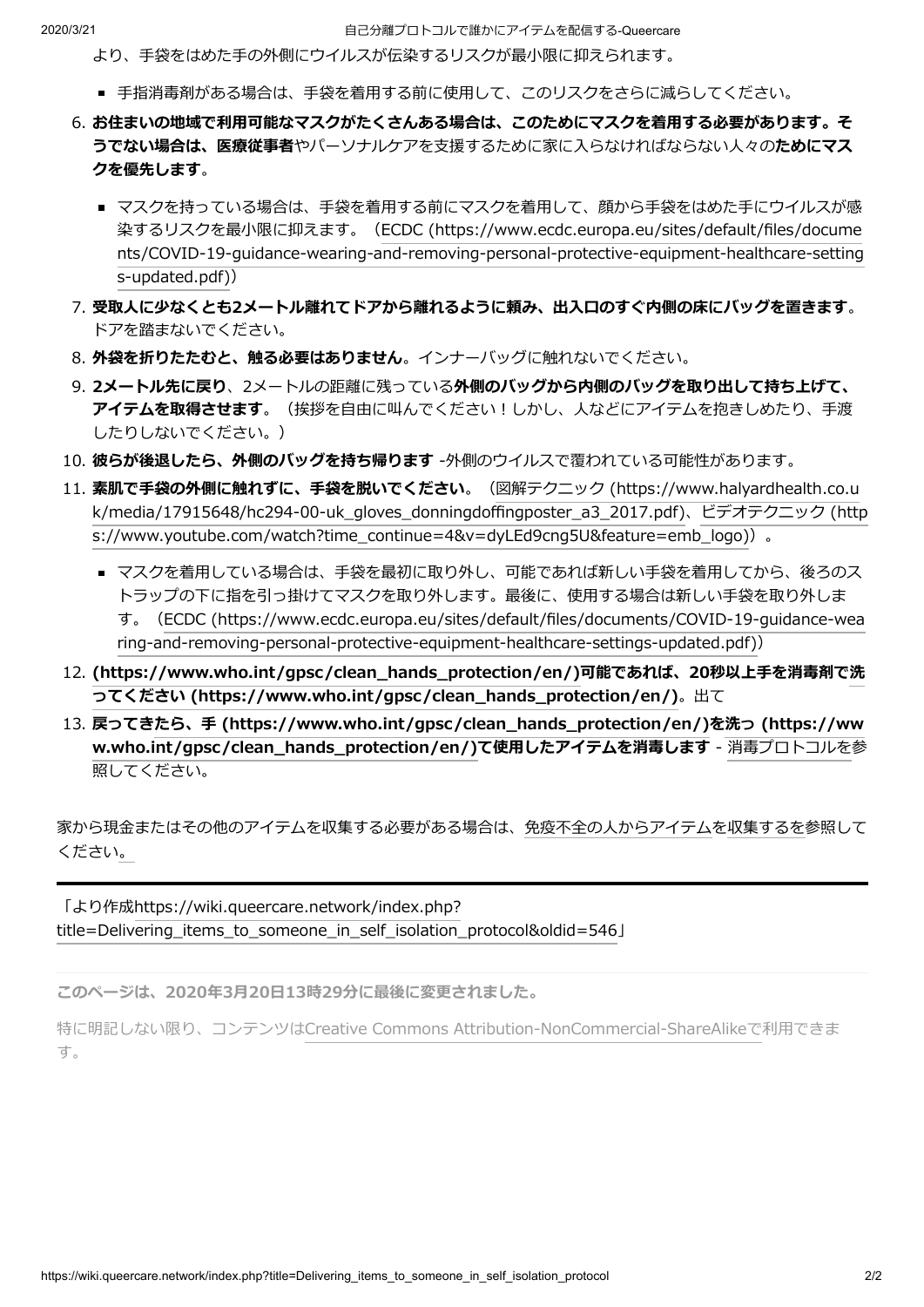- より、⼿袋をはめた⼿の外側にウイルスが伝染するリスクが最⼩限に抑えられます。
- 手指消毒剤がある場合は、手袋を着用する前に使用して、このリスクをさらに減らしてください。
- 6. お住まいの地域で利用可能なマスクがたくさんある場合は、このためにマスクを着用する必要があります。そ **うでない場合は、医療従事者**やパーソナルケアを⽀援するために家に⼊らなければならない⼈々の**ためにマス クを優先します**。
	- マスクを持っている場合は、手袋を着用する前にマスクを着用して、顔から手袋をはめた手にウイルスが感 染するリスクを最⼩限に抑えます。(ECDC (https://www.ecdc.europa.eu/sites/default/files/docume [nts/COVID-19-guidance-wearing-and-removing-personal-protective-equipment-healthcare-setting](https://www.ecdc.europa.eu/sites/default/files/documents/COVID-19-guidance-wearing-and-removing-personal-protective-equipment-healthcare-settings-updated.pdf) s-updated.pdf))
- 7. 受取人に少なくとも2メートル離れてドアから離れるように頼み、出入口のすぐ内側の床にバッグを置きます。 ドアを踏まないでください。
- 8. **外袋を折りたたむと、触る必要はありません**。インナーバッグに触れないでください。
- 9. **2メートル先に戻り**、2メートルの距離に残っている**外側のバッグから内側のバッグを取り出して持ち上げて、** アイテムを取得させます。(挨拶を自由に叫んでください!しかし、人などにアイテムを抱きしめたり、手渡 したりしないでください。)
- 10. **彼らが後退したら、外側のバッグを持ち帰ります** -外側のウイルスで覆われている可能性があります。
- 11. 素肌で手袋の外側に触れずに、手袋を脱いでください。(図解テクニック (https://www.halyardhealth.co.u [k/media/17915648/hc294-00-uk\\_gloves\\_donningdoffingposter\\_a3\\_2017.pdf\)、ビデオテクニック](https://www.halyardhealth.co.uk/media/17915648/hc294-00-uk_gloves_donningdoffingposter_a3_2017.pdf) (http s://www.youtube.com/watch?time\_continue=4&v=dyLEd9cng5U&feature=emb\_logo))。
	- マスクを着用している場合は、手袋を最初に取り外し、可能であれば新しい手袋を着用してから、後ろのス トラップの下に指を引っ掛けてマスクを取り外します。最後に、使用する場合は新しい手袋を取り外しま す。(ECDC (https://www.ecdc.europa.eu/sites/default/files/documents/COVID-19-guidance-wea [ring-and-removing-personal-protective-equipment-healthcare-settings-updated.pdf\)\)](https://www.ecdc.europa.eu/sites/default/files/documents/COVID-19-guidance-wearing-and-removing-personal-protective-equipment-healthcare-settings-updated.pdf)
- 12. (https://www.who.int/gpsc/clean\_hands\_protection/en/)可能であれば、20秒以上手を消毒剤で洗 **ってください (https://www.who.int/gpsc/clean\_hands\_protection/en/)**。出て
- 13. **戻ってきたら、⼿ [\(https://www.who.int/gpsc/clean\\_hands\\_protection/en/\)](https://www.who.int/gpsc/clean_hands_protection/en/)を洗っ (https://ww w.who.int/gpsc/clean\_hands\_protection/en/)て使用したアイテムを消毒します - [消毒プロトコルを参](https://wiki.queercare.network/index.php?title=Disinfecting_things_protocol)** 照してください。

家から現金またはその他のアイテムを収集する必要がある場合は、免疫不全の人からアイテムを収集するを参照して くださ[い。](https://wiki.queercare.network/index.php?title=Collecting_items_from_someone_immunocompromised.)

「より作成https://wiki.queercare.network/index.php? [title=Delivering\\_items\\_to\\_someone\\_in\\_self\\_isolation\\_protocol&oldid=546」](https://wiki.queercare.network/index.php?title=Delivering_items_to_someone_in_self_isolation_protocol&oldid=546)

**このページは、2020年3⽉20⽇13時29分に最後に変更されました。**

特に明記しない限り、コンテンツはCreative Commons [Attribution-NonCommercial-ShareAlikeで](https://creativecommons.org/licenses/by-nc-sa/4.0/)利用できま す。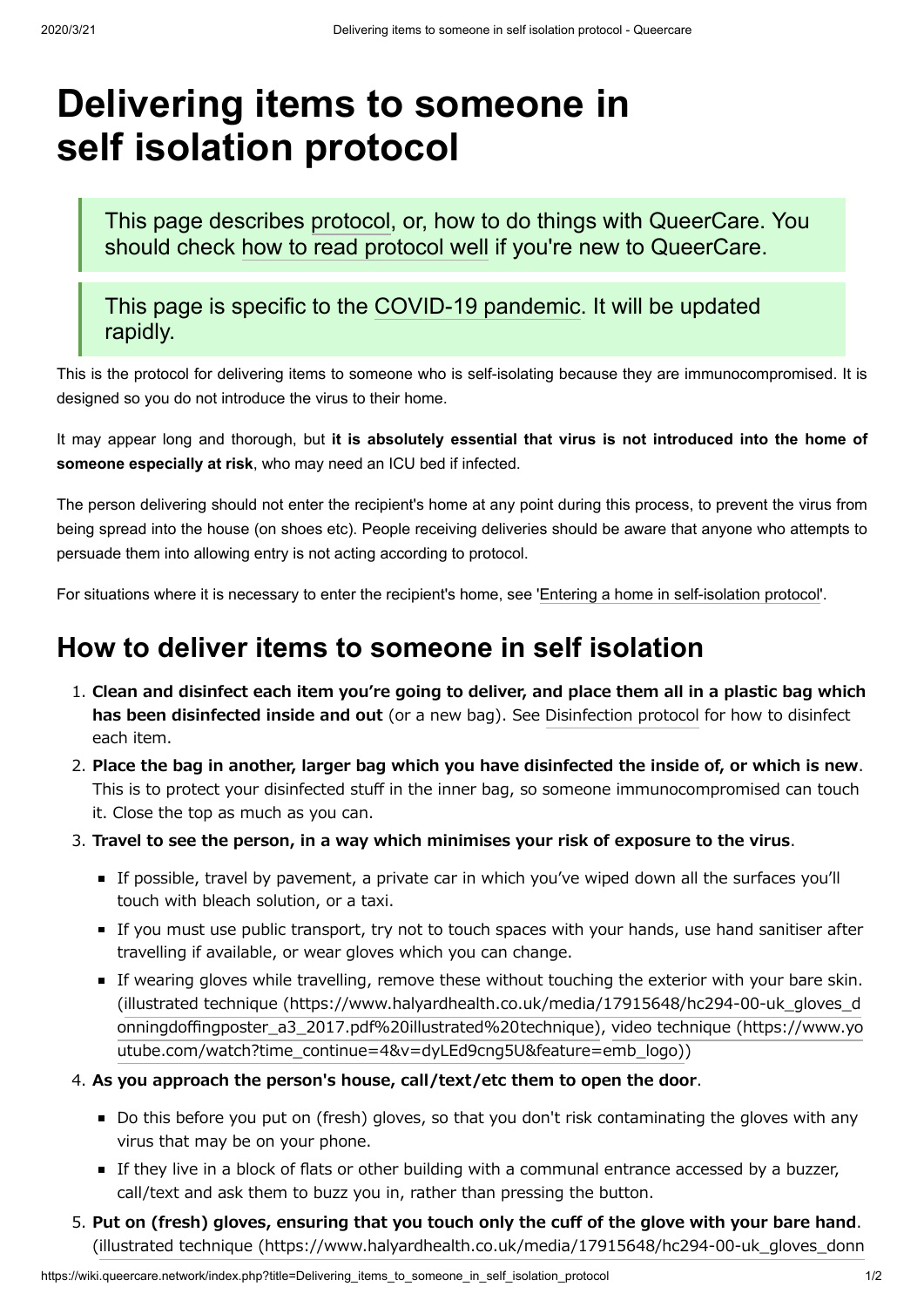## **Delivering items to someone in self isolation protocol**

This page describes [protocol,](https://wiki.queercare.network/index.php?title=Category:Protocol) or, how to do things with QueerCare. You should check how to read [protocol well](https://wiki.queercare.network/index.php?title=How_to_read_protocol_protocol) if you're new to QueerCare.

This page is specific to the [COVID-19](https://wiki.queercare.network/index.php?title=Category:Covid) pandemic. It will be updated rapidly.

This is the protocol for delivering items to someone who is self-isolating because they are immunocompromised. It is designed so you do not introduce the virus to their home.

It may appear long and thorough, but **it is absolutely essential that virus is not introduced into the home of someone especially at risk**, who may need an ICU bed if infected.

The person delivering should not enter the recipient's home at any point during this process, to prevent the virus from being spread into the house (on shoes etc). People receiving deliveries should be aware that anyone who attempts to persuade them into allowing entry is not acting according to protocol.

For situations where it is necessary to enter the recipient's home, see 'Entering a home in [self-isolation](https://wiki.queercare.network/index.php?title=Entering_a_home_in_self-isolation_protocol) protocol'.

## **How to deliver items to someone in self isolation**

- 1. **Clean and disinfect each item you're going to deliver, and place them all in a plastic bag which has been disinfected inside and out** (or a new bag). See [Disinfection](https://wiki.queercare.network/index.php?title=Disinfecting_things_protocol) protocol for how to disinfect each item.
- 2. **Place the bag in another, larger bag which you have disinfected the inside of, or which is new**. This is to protect your disinfected stuff in the inner bag, so someone immunocompromised can touch it. Close the top as much as you can.
- 3. **Travel to see the person, in a way which minimises your risk of exposure to the virus**.
	- If possible, travel by pavement, a private car in which you've wiped down all the surfaces you'll touch with bleach solution, or a taxi.
	- If you must use public transport, try not to touch spaces with your hands, use hand sanitiser after travelling if available, or wear gloves which you can change.
	- If wearing gloves while travelling, remove these without touching the exterior with your bare skin. (illustrated technique [\(https://www.halyardhealth.co.uk/media/17915648/hc294-00-uk\\_gloves\\_d](https://www.halyardhealth.co.uk/media/17915648/hc294-00-uk_gloves_donningdoffingposter_a3_2017.pdf%20illustrated%20technique) onningdoffingposter\_a3\_2017.pdf%20illustrated%20technique), video technique (https://www.yo [utube.com/watch?time\\_continue=4&v=dyLEd9cng5U&feature=emb\\_logo\)\)](https://www.youtube.com/watch?time_continue=4&v=dyLEd9cng5U&feature=emb_logo)

#### 4. **As you approach the person's house, call/text/etc them to open the door**.

- Do this before you put on (fresh) gloves, so that you don't risk contaminating the gloves with any virus that may be on your phone.
- If they live in a block of flats or other building with a communal entrance accessed by a buzzer, call/text and ask them to buzz you in, rather than pressing the button.
- 5. **Put on (fresh) gloves, ensuring that you touch only the cuff of the glove with your bare hand**. (illustrated technique [\(https://www.halyardhealth.co.uk/media/17915648/hc294-00-uk\\_gloves\\_donn](https://www.halyardhealth.co.uk/media/17915648/hc294-00-uk_gloves_donningdoffingposter_a3_2017.pdf)